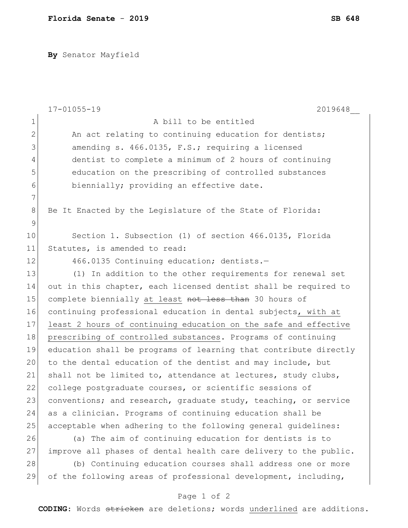**By** Senator Mayfield

|               | $17 - 01055 - 19$<br>2019648                                     |
|---------------|------------------------------------------------------------------|
| $\mathbf 1$   | A bill to be entitled                                            |
| $\mathbf{2}$  | An act relating to continuing education for dentists;            |
| 3             | amending s. 466.0135, F.S.; requiring a licensed                 |
| 4             | dentist to complete a minimum of 2 hours of continuing           |
| 5             | education on the prescribing of controlled substances            |
| 6             | biennially; providing an effective date.                         |
| 7             |                                                                  |
| 8             | Be It Enacted by the Legislature of the State of Florida:        |
| $\mathcal{G}$ |                                                                  |
| 10            | Section 1. Subsection (1) of section 466.0135, Florida           |
| 11            | Statutes, is amended to read:                                    |
| 12            | 466.0135 Continuing education; dentists.-                        |
| 13            | (1) In addition to the other requirements for renewal set        |
| 14            | out in this chapter, each licensed dentist shall be required to  |
| 15            | complete biennially at least not less than 30 hours of           |
| 16            | continuing professional education in dental subjects, with at    |
| 17            | least 2 hours of continuing education on the safe and effective  |
| 18            | prescribing of controlled substances. Programs of continuing     |
| 19            | education shall be programs of learning that contribute directly |
| 20            | to the dental education of the dentist and may include, but      |
| 21            | shall not be limited to, attendance at lectures, study clubs,    |
| 22            | college postgraduate courses, or scientific sessions of          |
| 23            | conventions; and research, graduate study, teaching, or service  |
| 24            | as a clinician. Programs of continuing education shall be        |
| 25            | acceptable when adhering to the following general guidelines:    |
| 26            | (a) The aim of continuing education for dentists is to           |
| 27            | improve all phases of dental health care delivery to the public. |
| 28            | (b) Continuing education courses shall address one or more       |
| 29            | of the following areas of professional development, including,   |

## Page 1 of 2

**CODING**: Words stricken are deletions; words underlined are additions.